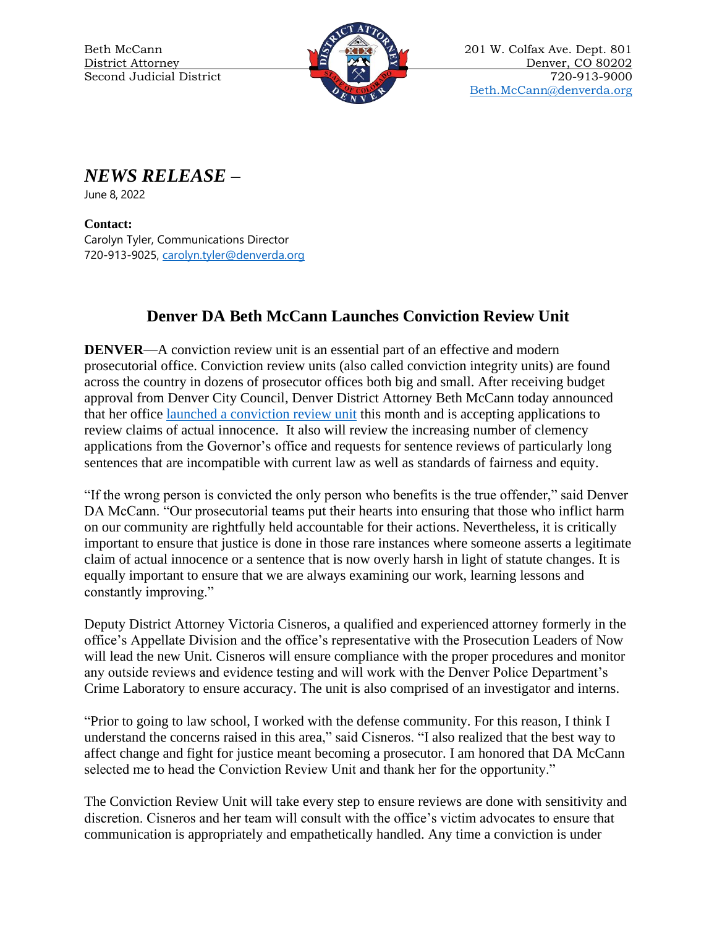

Beth McCann 201 W. Colfax Ave. Dept. 801 District Attorney 200202 200202 Denver, CO 80202 Second Judicial District  $\mathbb{R} \times \mathbb{R}$   $\mathbb{R}$  720-913-9000 [Beth.McCann@denverda.org](mailto:Beth.McCann@denverda.org)

*NEWS RELEASE* **–**

June 8, 2022

**Contact:**  Carolyn Tyler, Communications Director 720-913-9025, [carolyn.tyler@denverda.org](mailto:carolyn.tyler@denverda.org)

## **Denver DA Beth McCann Launches Conviction Review Unit**

**DENVER—A** conviction review unit is an essential part of an effective and modern prosecutorial office. Conviction review units (also called conviction integrity units) are found across the country in dozens of prosecutor offices both big and small. After receiving budget approval from Denver City Council, Denver District Attorney Beth McCann today announced that her office [launched a conviction review unit](https://www.denverda.org/conviction-review-unit/) this month and is accepting applications to review claims of actual innocence. It also will review the increasing number of clemency applications from the Governor's office and requests for sentence reviews of particularly long sentences that are incompatible with current law as well as standards of fairness and equity.

"If the wrong person is convicted the only person who benefits is the true offender," said Denver DA McCann. "Our prosecutorial teams put their hearts into ensuring that those who inflict harm on our community are rightfully held accountable for their actions. Nevertheless, it is critically important to ensure that justice is done in those rare instances where someone asserts a legitimate claim of actual innocence or a sentence that is now overly harsh in light of statute changes. It is equally important to ensure that we are always examining our work, learning lessons and constantly improving."

Deputy District Attorney Victoria Cisneros, a qualified and experienced attorney formerly in the office's Appellate Division and the office's representative with the Prosecution Leaders of Now will lead the new Unit. Cisneros will ensure compliance with the proper procedures and monitor any outside reviews and evidence testing and will work with the Denver Police Department's Crime Laboratory to ensure accuracy. The unit is also comprised of an investigator and interns.

"Prior to going to law school, I worked with the defense community. For this reason, I think I understand the concerns raised in this area," said Cisneros. "I also realized that the best way to affect change and fight for justice meant becoming a prosecutor. I am honored that DA McCann selected me to head the Conviction Review Unit and thank her for the opportunity."

The Conviction Review Unit will take every step to ensure reviews are done with sensitivity and discretion. Cisneros and her team will consult with the office's victim advocates to ensure that communication is appropriately and empathetically handled. Any time a conviction is under